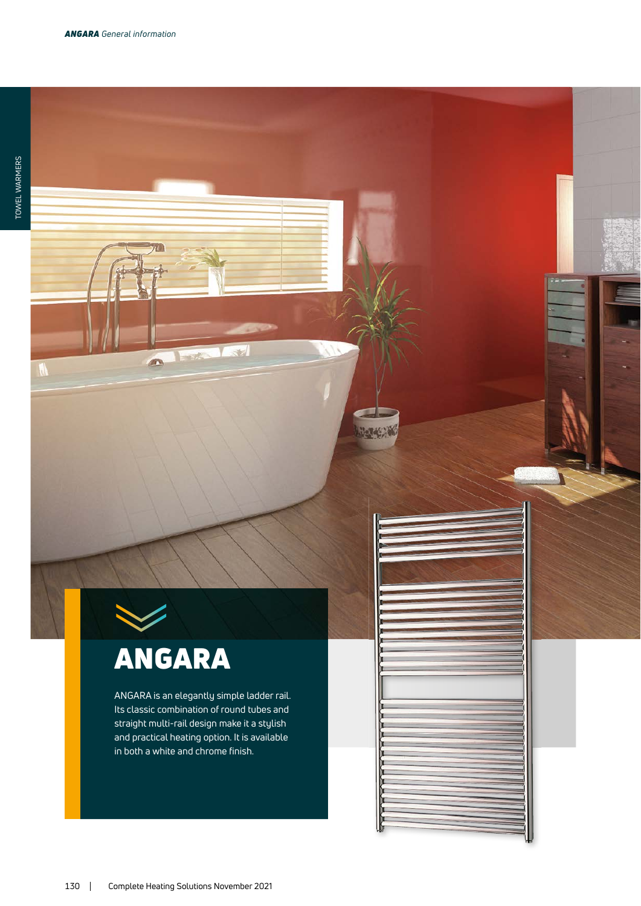W

## ANGARA

en.

ANGARA is an elegantly simple ladder rail. Its classic combination of round tubes and straight multi-rail design make it a stylish and practical heating option. It is available in both a white and chrome finish.

**New York**